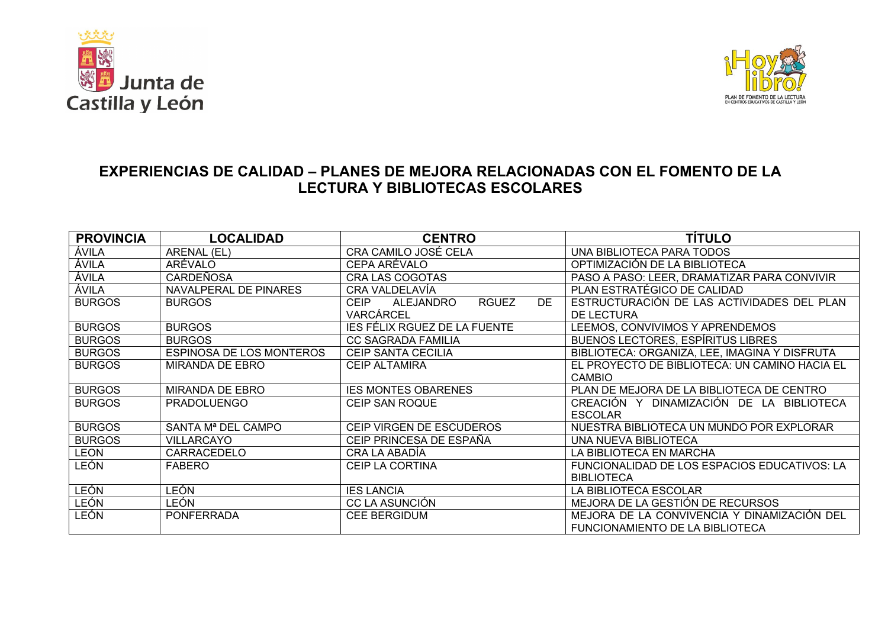



## **EXPERIENCIAS DE CALIDAD – PLANES DE MEJORA RELACIONADAS CON EL FOMENTO DE LA LECTURA Y BIBLIOTECAS ESCOLARES**

| <b>PROVINCIA</b> | <b>LOCALIDAD</b>                | <b>CENTRO</b>                                         | <b>TÍTULO</b>                                 |
|------------------|---------------------------------|-------------------------------------------------------|-----------------------------------------------|
| ÁVILA            | ARENAL (EL)                     | CRA CAMILO JOSÉ CELA                                  | UNA BIBLIOTECA PARA TODOS                     |
| ÁVILA            | ARÉVALO                         | CEPA ARÉVALO                                          | OPTIMIZACIÓN DE LA BIBLIOTECA                 |
| ÁVILA            | <b>CARDEÑOSA</b>                | CRA LAS COGOTAS                                       | PASO A PASO: LEER, DRAMATIZAR PARA CONVIVIR   |
| ÁVILA            | NAVALPERAL DE PINARES           | CRA VALDELAVÍA                                        | PLAN ESTRATÉGICO DE CALIDAD                   |
| <b>BURGOS</b>    | <b>BURGOS</b>                   | <b>CEIP</b><br>ALEJANDRO<br><b>RGUEZ</b><br><b>DE</b> | ESTRUCTURACIÓN DE LAS ACTIVIDADES DEL PLAN    |
|                  |                                 | <b>VARCÁRCEL</b>                                      | <b>DE LECTURA</b>                             |
| <b>BURGOS</b>    | <b>BURGOS</b>                   | <b>IES FÉLIX RGUEZ DE LA FUENTE</b>                   | LEEMOS, CONVIVIMOS Y APRENDEMOS               |
| <b>BURGOS</b>    | <b>BURGOS</b>                   | <b>CC SAGRADA FAMILIA</b>                             | <b>BUENOS LECTORES, ESPÍRITUS LIBRES</b>      |
| <b>BURGOS</b>    | <b>ESPINOSA DE LOS MONTEROS</b> | <b>CEIP SANTA CECILIA</b>                             | BIBLIOTECA: ORGANIZA, LEE, IMAGINA Y DISFRUTA |
| <b>BURGOS</b>    | MIRANDA DE EBRO                 | <b>CEIP ALTAMIRA</b>                                  | EL PROYECTO DE BIBLIOTECA: UN CAMINO HACIA EL |
|                  |                                 |                                                       | <b>CAMBIO</b>                                 |
| <b>BURGOS</b>    | <b>MIRANDA DE EBRO</b>          | <b>IES MONTES OBARENES</b>                            | PLAN DE MEJORA DE LA BIBLIOTECA DE CENTRO     |
| <b>BURGOS</b>    | <b>PRADOLUENGO</b>              | <b>CEIP SAN ROQUE</b>                                 | CREACIÓN Y DINAMIZACIÓN DE LA BIBLIOTECA      |
|                  |                                 |                                                       | <b>ESCOLAR</b>                                |
| <b>BURGOS</b>    | SANTA Mª DEL CAMPO              | CEIP VIRGEN DE ESCUDEROS                              | NUESTRA BIBLIOTECA UN MUNDO POR EXPLORAR      |
| <b>BURGOS</b>    | <b>VILLARCAYO</b>               | CEIP PRINCESA DE ESPAÑA                               | UNA NUEVA BIBLIOTECA                          |
| <b>LEON</b>      | CARRACEDELO                     | CRA LA ABADÍA                                         | LA BIBLIOTECA EN MARCHA                       |
| LEÓN             | <b>FABERO</b>                   | <b>CEIP LA CORTINA</b>                                | FUNCIONALIDAD DE LOS ESPACIOS EDUCATIVOS: LA  |
|                  |                                 |                                                       | <b>BIBLIOTECA</b>                             |
| <b>LEÓN</b>      | LEÓN                            | <b>IES LANCIA</b>                                     | LA BIBLIOTECA ESCOLAR                         |
| LEÓN             | LEÓN                            | CC LA ASUNCIÓN                                        | MEJORA DE LA GESTIÓN DE RECURSOS              |
| LEÓN             | <b>PONFERRADA</b>               | <b>CEE BERGIDUM</b>                                   | MEJORA DE LA CONVIVENCIA Y DINAMIZACIÓN DEL   |
|                  |                                 |                                                       | FUNCIONAMIENTO DE LA BIBLIOTECA               |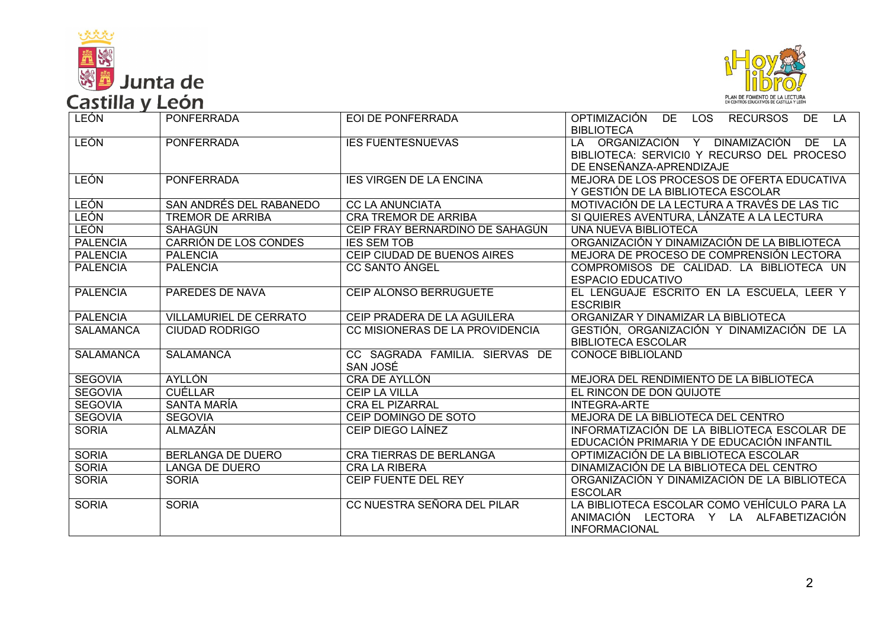



| ________         | -----                         |                                            |                                                                                                                        |
|------------------|-------------------------------|--------------------------------------------|------------------------------------------------------------------------------------------------------------------------|
| <b>LEÓN</b>      | <b>PONFERRADA</b>             | EOI DE PONFERRADA                          | OPTIMIZACIÓN<br>LOS RECURSOS<br>DE<br>DE.<br><b>LA</b><br><b>BIBLIOTECA</b>                                            |
| <b>LEÓN</b>      | <b>PONFERRADA</b>             | <b>IES FUENTESNUEVAS</b>                   | LA ORGANIZACIÓN Y<br>DINAMIZACIÓN<br>$DE$ LA<br>BIBLIOTECA: SERVICIO Y RECURSO DEL PROCESO<br>DE ENSEÑANZA-APRENDIZAJE |
| <b>LEÓN</b>      | <b>PONFERRADA</b>             | <b>IES VIRGEN DE LA ENCINA</b>             | MEJORA DE LOS PROCESOS DE OFERTA EDUCATIVA<br>Y GESTIÓN DE LA BIBLIOTECA ESCOLAR                                       |
| <b>LEÓN</b>      | SAN ANDRÉS DEL RABANEDO       | <b>CC LA ANUNCIATA</b>                     | MOTIVACIÓN DE LA LECTURA A TRAVÉS DE LAS TIC                                                                           |
| <b>LEÓN</b>      | <b>TREMOR DE ARRIBA</b>       | <b>CRA TREMOR DE ARRIBA</b>                | SI QUIERES AVENTURA, LÁNZATE A LA LECTURA                                                                              |
| LEÓN             | SAHAGÚN                       | CEIP FRAY BERNARDINO DE SAHAGÚN            | UNA NUEVA BIBLIOTECA                                                                                                   |
| <b>PALENCIA</b>  | CARRIÓN DE LOS CONDES         | <b>IES SEM TOB</b>                         | ORGANIZACIÓN Y DINAMIZACIÓN DE LA BIBLIOTECA                                                                           |
| <b>PALENCIA</b>  | <b>PALENCIA</b>               | CEIP CIUDAD DE BUENOS AIRES                | MEJORA DE PROCESO DE COMPRENSIÓN LECTORA                                                                               |
| <b>PALENCIA</b>  | <b>PALENCIA</b>               | <b>CC SANTO ÁNGEL</b>                      | COMPROMISOS DE CALIDAD. LA BIBLIOTECA UN<br><b>ESPACIO EDUCATIVO</b>                                                   |
| <b>PALENCIA</b>  | PAREDES DE NAVA               | CEIP ALONSO BERRUGUETE                     | EL LENGUAJE ESCRITO EN LA ESCUELA, LEER Y<br><b>ESCRIBIR</b>                                                           |
| <b>PALENCIA</b>  | <b>VILLAMURIEL DE CERRATO</b> | CEIP PRADERA DE LA AGUILERA                | ORGANIZAR Y DINAMIZAR LA BIBLIOTECA                                                                                    |
| <b>SALAMANCA</b> | <b>CIUDAD RODRIGO</b>         | CC MISIONERAS DE LA PROVIDENCIA            | GESTIÓN, ORGANIZACIÓN Y DINAMIZACIÓN DE LA<br><b>BIBLIOTECA ESCOLAR</b>                                                |
| <b>SALAMANCA</b> | <b>SALAMANCA</b>              | CC SAGRADA FAMILIA. SIERVAS DE<br>SAN JOSÉ | <b>CONOCE BIBLIOLAND</b>                                                                                               |
| <b>SEGOVIA</b>   | <b>AYLLÓN</b>                 | CRA DE AYLLÓN                              | MEJORA DEL RENDIMIENTO DE LA BIBLIOTECA                                                                                |
| <b>SEGOVIA</b>   | <b>CUÉLLAR</b>                | CEIP LA VILLA                              | EL RINCON DE DON QUIJOTE                                                                                               |
| <b>SEGOVIA</b>   | SANTA MARÍA                   | <b>CRA EL PIZARRAL</b>                     | <b>INTEGRA-ARTE</b>                                                                                                    |
| <b>SEGOVIA</b>   | <b>SEGOVIA</b>                | CEIP DOMINGO DE SOTO                       | MEJORA DE LA BIBLIOTECA DEL CENTRO                                                                                     |
| <b>SORIA</b>     | <b>ALMAZÁN</b>                | CEIP DIEGO LAÍNEZ                          | INFORMATIZACIÓN DE LA BIBLIOTECA ESCOLAR DE<br>EDUCACIÓN PRIMARIA Y DE EDUCACIÓN INFANTIL                              |
| <b>SORIA</b>     | <b>BERLANGA DE DUERO</b>      | <b>CRA TIERRAS DE BERLANGA</b>             | OPTIMIZACIÓN DE LA BIBLIOTECA ESCOLAR                                                                                  |
| <b>SORIA</b>     | <b>LANGA DE DUERO</b>         | <b>CRA LA RIBERA</b>                       | DINAMIZACIÓN DE LA BIBLIOTECA DEL CENTRO                                                                               |
| <b>SORIA</b>     | <b>SORIA</b>                  | CEIP FUENTE DEL REY                        | ORGANIZACIÓN Y DINAMIZACIÓN DE LA BIBLIOTECA<br><b>ESCOLAR</b>                                                         |
| <b>SORIA</b>     | <b>SORIA</b>                  | CC NUESTRA SEÑORA DEL PILAR                | LA BIBLIOTECA ESCOLAR COMO VEHÍCULO PARA LA<br>ANIMACIÓN LECTORA Y LA ALFABETIZACIÓN<br><b>INFORMACIONAL</b>           |